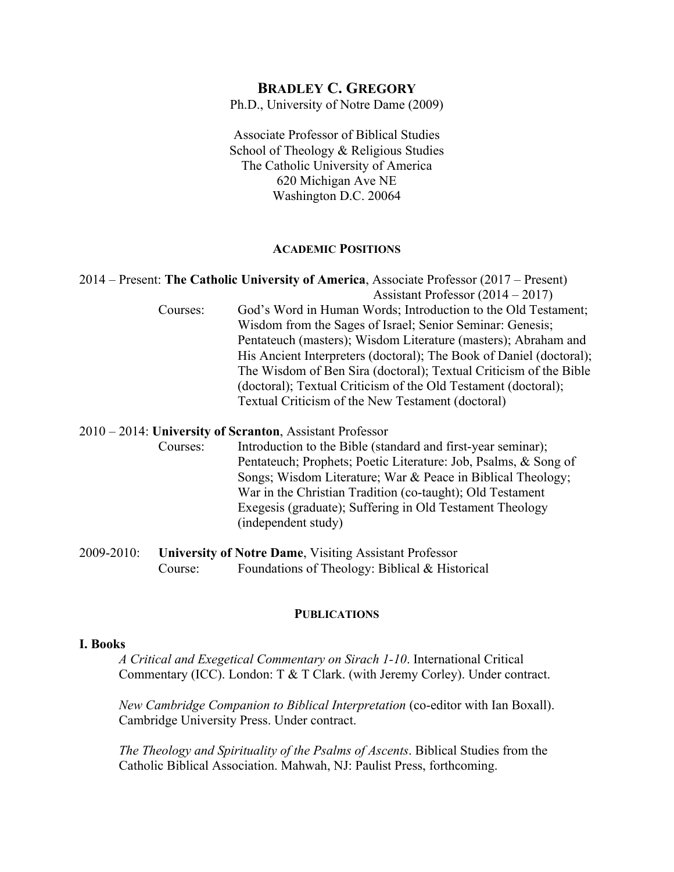# **BRADLEY C. GREGORY**

Ph.D., University of Notre Dame (2009)

Associate Professor of Biblical Studies School of Theology & Religious Studies The Catholic University of America 620 Michigan Ave NE Washington D.C. 20064

#### **ACADEMIC POSITIONS**

# 2014 – Present: **The Catholic University of America**, Associate Professor (2017 – Present)

 Assistant Professor (2014 – 2017) Courses: God's Word in Human Words; Introduction to the Old Testament; Wisdom from the Sages of Israel; Senior Seminar: Genesis; Pentateuch (masters); Wisdom Literature (masters); Abraham and His Ancient Interpreters (doctoral); The Book of Daniel (doctoral); The Wisdom of Ben Sira (doctoral); Textual Criticism of the Bible (doctoral); Textual Criticism of the Old Testament (doctoral); Textual Criticism of the New Testament (doctoral)

#### 2010 – 2014: **University of Scranton**, Assistant Professor

Courses: Introduction to the Bible (standard and first-year seminar); Pentateuch; Prophets; Poetic Literature: Job, Psalms, & Song of Songs; Wisdom Literature; War & Peace in Biblical Theology; War in the Christian Tradition (co-taught); Old Testament Exegesis (graduate); Suffering in Old Testament Theology (independent study)

2009-2010: **University of Notre Dame**, Visiting Assistant Professor Course: Foundations of Theology: Biblical & Historical

#### **PUBLICATIONS**

### **I. Books**

*A Critical and Exegetical Commentary on Sirach 1-10*. International Critical Commentary (ICC). London: T & T Clark. (with Jeremy Corley). Under contract.

*New Cambridge Companion to Biblical Interpretation* (co-editor with Ian Boxall). Cambridge University Press. Under contract.

*The Theology and Spirituality of the Psalms of Ascents*. Biblical Studies from the Catholic Biblical Association. Mahwah, NJ: Paulist Press, forthcoming.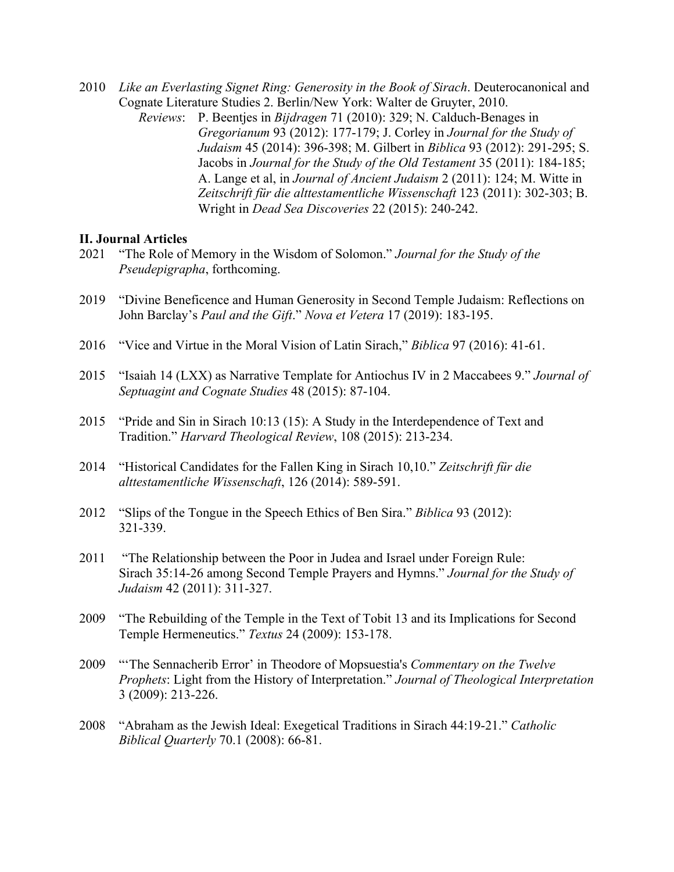- 2010 *Like an Everlasting Signet Ring: Generosity in the Book of Sirach*. Deuterocanonical and Cognate Literature Studies 2. Berlin/New York: Walter de Gruyter, 2010.
	- *Reviews*: P. Beentjes in *Bijdragen* 71 (2010): 329; N. Calduch-Benages in *Gregorianum* 93 (2012): 177-179; J. Corley in *Journal for the Study of Judaism* 45 (2014): 396-398; M. Gilbert in *Biblica* 93 (2012): 291-295; S. Jacobs in *Journal for the Study of the Old Testament* 35 (2011): 184-185; A. Lange et al, in *Journal of Ancient Judaism* 2 (2011): 124; M. Witte in *Zeitschrift für die alttestamentliche Wissenschaft* 123 (2011): 302-303; B. Wright in *Dead Sea Discoveries* 22 (2015): 240-242.

### **II. Journal Articles**

- 2021 "The Role of Memory in the Wisdom of Solomon." *Journal for the Study of the Pseudepigrapha*, forthcoming.
- 2019 "Divine Beneficence and Human Generosity in Second Temple Judaism: Reflections on John Barclay's *Paul and the Gift*." *Nova et Vetera* 17 (2019): 183-195.
- 2016 "Vice and Virtue in the Moral Vision of Latin Sirach," *Biblica* 97 (2016): 41-61.
- 2015 "Isaiah 14 (LXX) as Narrative Template for Antiochus IV in 2 Maccabees 9." *Journal of Septuagint and Cognate Studies* 48 (2015): 87-104.
- 2015 "Pride and Sin in Sirach 10:13 (15): A Study in the Interdependence of Text and Tradition." *Harvard Theological Review*, 108 (2015): 213-234.
- 2014 "Historical Candidates for the Fallen King in Sirach 10,10." *Zeitschrift für die alttestamentliche Wissenschaft*, 126 (2014): 589-591.
- 2012 "Slips of the Tongue in the Speech Ethics of Ben Sira." *Biblica* 93 (2012): 321-339.
- 2011 "The Relationship between the Poor in Judea and Israel under Foreign Rule: Sirach 35:14-26 among Second Temple Prayers and Hymns." *Journal for the Study of Judaism* 42 (2011): 311-327.
- 2009 "The Rebuilding of the Temple in the Text of Tobit 13 and its Implications for Second Temple Hermeneutics." *Textus* 24 (2009): 153-178.
- 2009 "'The Sennacherib Error' in Theodore of Mopsuestia's *Commentary on the Twelve Prophets*: Light from the History of Interpretation." *Journal of Theological Interpretation* 3 (2009): 213-226.
- 2008 "Abraham as the Jewish Ideal: Exegetical Traditions in Sirach 44:19-21." *Catholic Biblical Quarterly* 70.1 (2008): 66-81.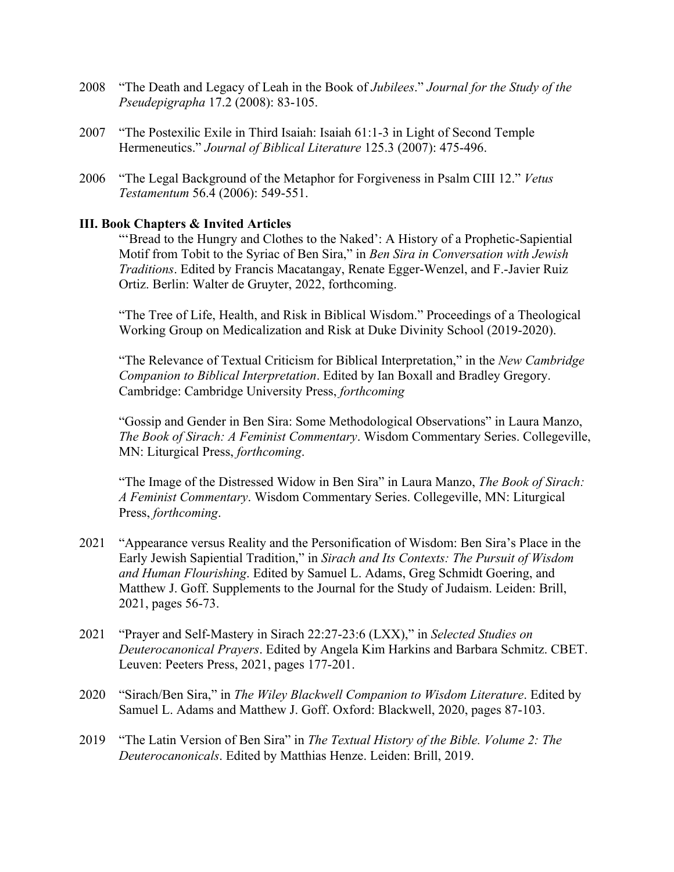- 2008 "The Death and Legacy of Leah in the Book of *Jubilees*." *Journal for the Study of the Pseudepigrapha* 17.2 (2008): 83-105.
- 2007 "The Postexilic Exile in Third Isaiah: Isaiah 61:1-3 in Light of Second Temple Hermeneutics." *Journal of Biblical Literature* 125.3 (2007): 475-496.
- 2006 "The Legal Background of the Metaphor for Forgiveness in Psalm CIII 12." *Vetus Testamentum* 56.4 (2006): 549-551.

# **III. Book Chapters & Invited Articles**

"'Bread to the Hungry and Clothes to the Naked': A History of a Prophetic-Sapiential Motif from Tobit to the Syriac of Ben Sira," in *Ben Sira in Conversation with Jewish Traditions*. Edited by Francis Macatangay, Renate Egger-Wenzel, and F.-Javier Ruiz Ortiz. Berlin: Walter de Gruyter, 2022, forthcoming.

"The Tree of Life, Health, and Risk in Biblical Wisdom." Proceedings of a Theological Working Group on Medicalization and Risk at Duke Divinity School (2019-2020).

"The Relevance of Textual Criticism for Biblical Interpretation," in the *New Cambridge Companion to Biblical Interpretation*. Edited by Ian Boxall and Bradley Gregory. Cambridge: Cambridge University Press, *forthcoming*

"Gossip and Gender in Ben Sira: Some Methodological Observations" in Laura Manzo, *The Book of Sirach: A Feminist Commentary*. Wisdom Commentary Series. Collegeville, MN: Liturgical Press, *forthcoming*.

"The Image of the Distressed Widow in Ben Sira" in Laura Manzo, *The Book of Sirach: A Feminist Commentary*. Wisdom Commentary Series. Collegeville, MN: Liturgical Press, *forthcoming*.

- 2021 "Appearance versus Reality and the Personification of Wisdom: Ben Sira's Place in the Early Jewish Sapiential Tradition," in *Sirach and Its Contexts: The Pursuit of Wisdom and Human Flourishing*. Edited by Samuel L. Adams, Greg Schmidt Goering, and Matthew J. Goff. Supplements to the Journal for the Study of Judaism. Leiden: Brill, 2021, pages 56-73.
- 2021 "Prayer and Self-Mastery in Sirach 22:27-23:6 (LXX)," in *Selected Studies on Deuterocanonical Prayers*. Edited by Angela Kim Harkins and Barbara Schmitz. CBET. Leuven: Peeters Press, 2021, pages 177-201.
- 2020 "Sirach/Ben Sira," in *The Wiley Blackwell Companion to Wisdom Literature*. Edited by Samuel L. Adams and Matthew J. Goff. Oxford: Blackwell, 2020, pages 87-103.
- 2019 "The Latin Version of Ben Sira" in *The Textual History of the Bible. Volume 2: The Deuterocanonicals*. Edited by Matthias Henze. Leiden: Brill, 2019.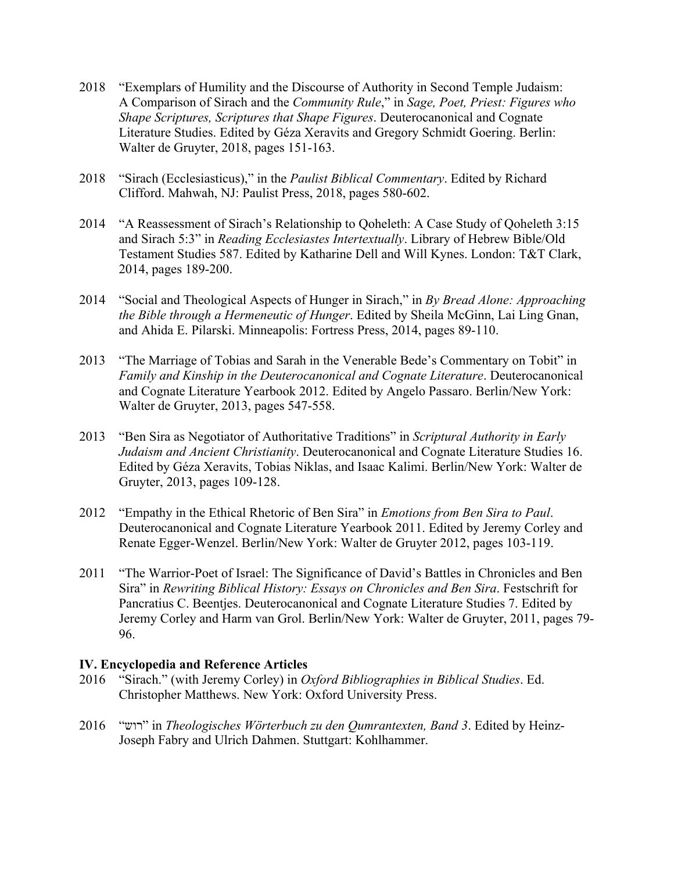- 2018 "Exemplars of Humility and the Discourse of Authority in Second Temple Judaism: A Comparison of Sirach and the *Community Rule*," in *Sage, Poet, Priest: Figures who Shape Scriptures, Scriptures that Shape Figures*. Deuterocanonical and Cognate Literature Studies. Edited by Géza Xeravits and Gregory Schmidt Goering. Berlin: Walter de Gruyter, 2018, pages 151-163.
- 2018 "Sirach (Ecclesiasticus)," in the *Paulist Biblical Commentary*. Edited by Richard Clifford. Mahwah, NJ: Paulist Press, 2018, pages 580-602.
- 2014 "A Reassessment of Sirach's Relationship to Qoheleth: A Case Study of Qoheleth 3:15 and Sirach 5:3" in *Reading Ecclesiastes Intertextually*. Library of Hebrew Bible/Old Testament Studies 587. Edited by Katharine Dell and Will Kynes. London: T&T Clark, 2014, pages 189-200.
- 2014 "Social and Theological Aspects of Hunger in Sirach," in *By Bread Alone: Approaching the Bible through a Hermeneutic of Hunger*. Edited by Sheila McGinn, Lai Ling Gnan, and Ahida E. Pilarski. Minneapolis: Fortress Press, 2014, pages 89-110.
- 2013 "The Marriage of Tobias and Sarah in the Venerable Bede's Commentary on Tobit" in *Family and Kinship in the Deuterocanonical and Cognate Literature*. Deuterocanonical and Cognate Literature Yearbook 2012. Edited by Angelo Passaro. Berlin/New York: Walter de Gruyter, 2013, pages 547-558.
- 2013 "Ben Sira as Negotiator of Authoritative Traditions" in *Scriptural Authority in Early Judaism and Ancient Christianity*. Deuterocanonical and Cognate Literature Studies 16. Edited by Géza Xeravits, Tobias Niklas, and Isaac Kalimi. Berlin/New York: Walter de Gruyter, 2013, pages 109-128.
- 2012 "Empathy in the Ethical Rhetoric of Ben Sira" in *Emotions from Ben Sira to Paul*. Deuterocanonical and Cognate Literature Yearbook 2011. Edited by Jeremy Corley and Renate Egger-Wenzel. Berlin/New York: Walter de Gruyter 2012, pages 103-119.
- 2011 "The Warrior-Poet of Israel: The Significance of David's Battles in Chronicles and Ben Sira" in *Rewriting Biblical History: Essays on Chronicles and Ben Sira*. Festschrift for Pancratius C. Beentjes. Deuterocanonical and Cognate Literature Studies 7. Edited by Jeremy Corley and Harm van Grol. Berlin/New York: Walter de Gruyter, 2011, pages 79- 96.

# **IV. Encyclopedia and Reference Articles**

- 2016 "Sirach." (with Jeremy Corley) in *Oxford Bibliographies in Biblical Studies*. Ed. Christopher Matthews. New York: Oxford University Press.
- 2016 " שור " in *Theologisches Wörterbuch zu den Qumrantexten, Band 3*. Edited by Heinz-Joseph Fabry and Ulrich Dahmen. Stuttgart: Kohlhammer.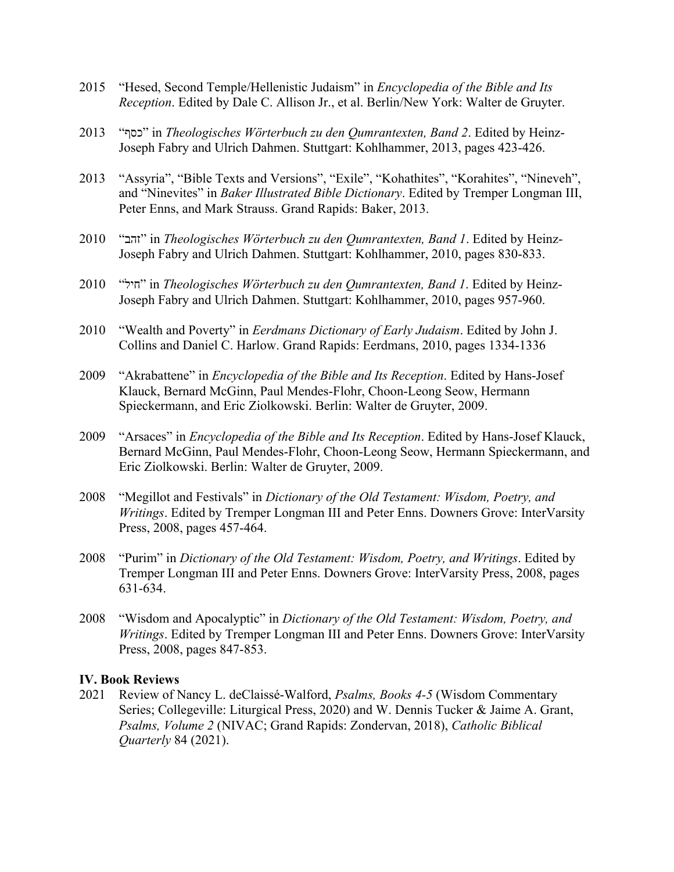- 2015 "Hesed, Second Temple/Hellenistic Judaism" in *Encyclopedia of the Bible and Its Reception*. Edited by Dale C. Allison Jr., et al. Berlin/New York: Walter de Gruyter.
- 2013 "כסף" in *Theologisches Wörterbuch zu den Qumrantexten, Band 2*. Edited by Heinz-Joseph Fabry and Ulrich Dahmen. Stuttgart: Kohlhammer, 2013, pages 423-426.
- 2013 "Assyria", "Bible Texts and Versions", "Exile", "Kohathites", "Korahites", "Nineveh", and "Ninevites" in *Baker Illustrated Bible Dictionary*. Edited by Tremper Longman III, Peter Enns, and Mark Strauss. Grand Rapids: Baker, 2013.
- 2010 " בהז " in *Theologisches Wörterbuch zu den Qumrantexten, Band 1*. Edited by Heinz-Joseph Fabry and Ulrich Dahmen. Stuttgart: Kohlhammer, 2010, pages 830-833.
- 2010 " ליח " in *Theologisches Wörterbuch zu den Qumrantexten, Band 1*. Edited by Heinz-Joseph Fabry and Ulrich Dahmen. Stuttgart: Kohlhammer, 2010, pages 957-960.
- 2010 "Wealth and Poverty" in *Eerdmans Dictionary of Early Judaism*. Edited by John J. Collins and Daniel C. Harlow. Grand Rapids: Eerdmans, 2010, pages 1334-1336
- 2009 "Akrabattene" in *Encyclopedia of the Bible and Its Reception*. Edited by Hans-Josef Klauck, Bernard McGinn, Paul Mendes-Flohr, Choon-Leong Seow, Hermann Spieckermann, and Eric Ziolkowski. Berlin: Walter de Gruyter, 2009.
- 2009 "Arsaces" in *Encyclopedia of the Bible and Its Reception*. Edited by Hans-Josef Klauck, Bernard McGinn, Paul Mendes-Flohr, Choon-Leong Seow, Hermann Spieckermann, and Eric Ziolkowski. Berlin: Walter de Gruyter, 2009.
- 2008 "Megillot and Festivals" in *Dictionary of the Old Testament: Wisdom, Poetry, and Writings*. Edited by Tremper Longman III and Peter Enns. Downers Grove: InterVarsity Press, 2008, pages 457-464.
- 2008 "Purim" in *Dictionary of the Old Testament: Wisdom, Poetry, and Writings*. Edited by Tremper Longman III and Peter Enns. Downers Grove: InterVarsity Press, 2008, pages 631-634.
- 2008 "Wisdom and Apocalyptic" in *Dictionary of the Old Testament: Wisdom, Poetry, and Writings*. Edited by Tremper Longman III and Peter Enns. Downers Grove: InterVarsity Press, 2008, pages 847-853.

### **IV. Book Reviews**

2021 Review of Nancy L. deClaissé-Walford, *Psalms, Books 4-5* (Wisdom Commentary Series; Collegeville: Liturgical Press, 2020) and W. Dennis Tucker & Jaime A. Grant, *Psalms, Volume 2* (NIVAC; Grand Rapids: Zondervan, 2018), *Catholic Biblical Quarterly* 84 (2021).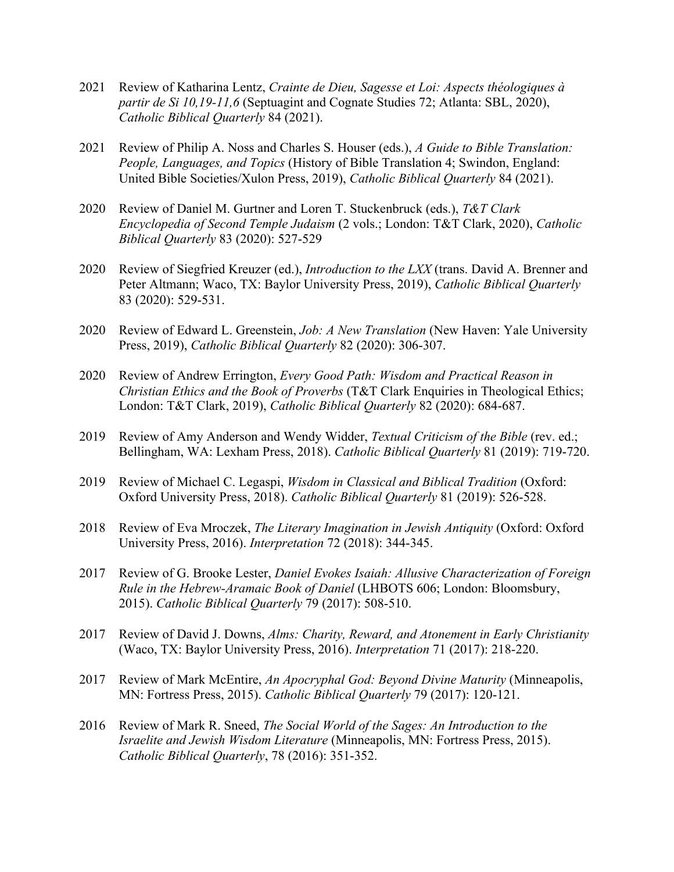- 2021 Review of Katharina Lentz, *Crainte de Dieu, Sagesse et Loi: Aspects théologiques à partir de Si 10,19-11,6* (Septuagint and Cognate Studies 72; Atlanta: SBL, 2020), *Catholic Biblical Quarterly* 84 (2021).
- 2021 Review of Philip A. Noss and Charles S. Houser (eds.), *A Guide to Bible Translation: People, Languages, and Topics* (History of Bible Translation 4; Swindon, England: United Bible Societies/Xulon Press, 2019), *Catholic Biblical Quarterly* 84 (2021).
- 2020 Review of Daniel M. Gurtner and Loren T. Stuckenbruck (eds.), *T&T Clark Encyclopedia of Second Temple Judaism* (2 vols.; London: T&T Clark, 2020), *Catholic Biblical Quarterly* 83 (2020): 527-529
- 2020 Review of Siegfried Kreuzer (ed.), *Introduction to the LXX* (trans. David A. Brenner and Peter Altmann; Waco, TX: Baylor University Press, 2019), *Catholic Biblical Quarterly* 83 (2020): 529-531.
- 2020 Review of Edward L. Greenstein, *Job: A New Translation* (New Haven: Yale University Press, 2019), *Catholic Biblical Quarterly* 82 (2020): 306-307.
- 2020 Review of Andrew Errington, *Every Good Path: Wisdom and Practical Reason in Christian Ethics and the Book of Proverbs* (T&T Clark Enquiries in Theological Ethics; London: T&T Clark, 2019), *Catholic Biblical Quarterly* 82 (2020): 684-687.
- 2019 Review of Amy Anderson and Wendy Widder, *Textual Criticism of the Bible* (rev. ed.; Bellingham, WA: Lexham Press, 2018). *Catholic Biblical Quarterly* 81 (2019): 719-720.
- 2019 Review of Michael C. Legaspi, *Wisdom in Classical and Biblical Tradition* (Oxford: Oxford University Press, 2018). *Catholic Biblical Quarterly* 81 (2019): 526-528.
- 2018 Review of Eva Mroczek, *The Literary Imagination in Jewish Antiquity* (Oxford: Oxford University Press, 2016). *Interpretation* 72 (2018): 344-345.
- 2017 Review of G. Brooke Lester, *Daniel Evokes Isaiah: Allusive Characterization of Foreign Rule in the Hebrew-Aramaic Book of Daniel* (LHBOTS 606; London: Bloomsbury, 2015). *Catholic Biblical Quarterly* 79 (2017): 508-510.
- 2017 Review of David J. Downs, *Alms: Charity, Reward, and Atonement in Early Christianity* (Waco, TX: Baylor University Press, 2016). *Interpretation* 71 (2017): 218-220.
- 2017 Review of Mark McEntire, *An Apocryphal God: Beyond Divine Maturity* (Minneapolis, MN: Fortress Press, 2015). *Catholic Biblical Quarterly* 79 (2017): 120-121.
- 2016 Review of Mark R. Sneed, *The Social World of the Sages: An Introduction to the Israelite and Jewish Wisdom Literature* (Minneapolis, MN: Fortress Press, 2015). *Catholic Biblical Quarterly*, 78 (2016): 351-352.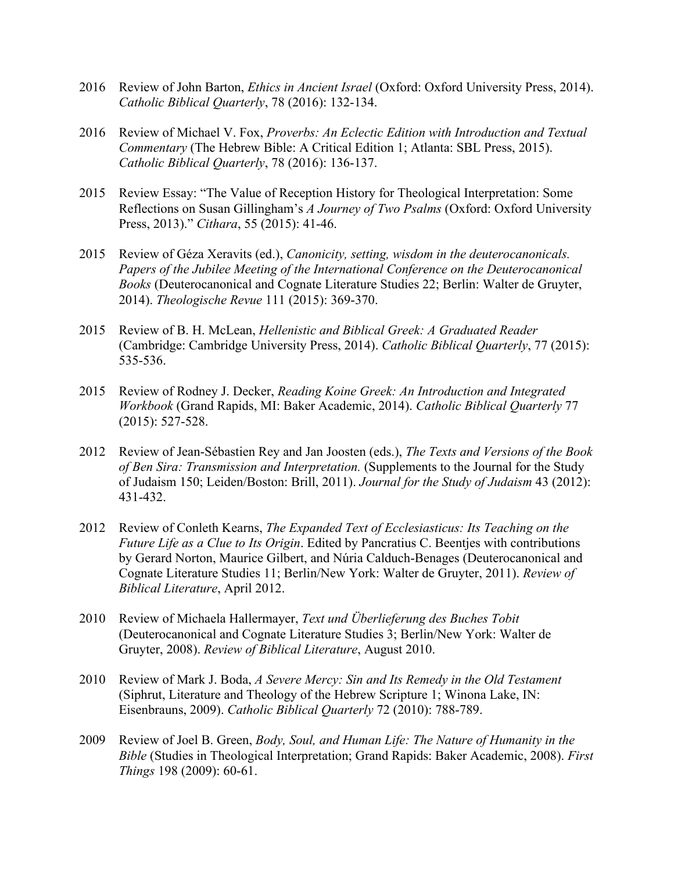- 2016 Review of John Barton, *Ethics in Ancient Israel* (Oxford: Oxford University Press, 2014). *Catholic Biblical Quarterly*, 78 (2016): 132-134.
- 2016 Review of Michael V. Fox, *Proverbs: An Eclectic Edition with Introduction and Textual Commentary* (The Hebrew Bible: A Critical Edition 1; Atlanta: SBL Press, 2015). *Catholic Biblical Quarterly*, 78 (2016): 136-137.
- 2015 Review Essay: "The Value of Reception History for Theological Interpretation: Some Reflections on Susan Gillingham's *A Journey of Two Psalms* (Oxford: Oxford University Press, 2013)." *Cithara*, 55 (2015): 41-46.
- 2015 Review of Géza Xeravits (ed.), *Canonicity, setting, wisdom in the deuterocanonicals. Papers of the Jubilee Meeting of the International Conference on the Deuterocanonical Books* (Deuterocanonical and Cognate Literature Studies 22; Berlin: Walter de Gruyter, 2014). *Theologische Revue* 111 (2015): 369-370.
- 2015 Review of B. H. McLean, *Hellenistic and Biblical Greek: A Graduated Reader*  (Cambridge: Cambridge University Press, 2014). *Catholic Biblical Quarterly*, 77 (2015): 535-536.
- 2015 Review of Rodney J. Decker, *Reading Koine Greek: An Introduction and Integrated Workbook* (Grand Rapids, MI: Baker Academic, 2014). *Catholic Biblical Quarterly* 77 (2015): 527-528.
- 2012 Review of Jean-Sébastien Rey and Jan Joosten (eds.), *The Texts and Versions of the Book of Ben Sira: Transmission and Interpretation.* (Supplements to the Journal for the Study of Judaism 150; Leiden/Boston: Brill, 2011). *Journal for the Study of Judaism* 43 (2012): 431-432.
- 2012 Review of Conleth Kearns, *The Expanded Text of Ecclesiasticus: Its Teaching on the Future Life as a Clue to Its Origin*. Edited by Pancratius C. Beentjes with contributions by Gerard Norton, Maurice Gilbert, and Núria Calduch-Benages (Deuterocanonical and Cognate Literature Studies 11; Berlin/New York: Walter de Gruyter, 2011). *Review of Biblical Literature*, April 2012.
- 2010 Review of Michaela Hallermayer, *Text und Überlieferung des Buches Tobit* (Deuterocanonical and Cognate Literature Studies 3; Berlin/New York: Walter de Gruyter, 2008). *Review of Biblical Literature*, August 2010.
- 2010 Review of Mark J. Boda, *A Severe Mercy: Sin and Its Remedy in the Old Testament*  (Siphrut, Literature and Theology of the Hebrew Scripture 1; Winona Lake, IN: Eisenbrauns, 2009). *Catholic Biblical Quarterly* 72 (2010): 788-789.
- 2009 Review of Joel B. Green, *Body, Soul, and Human Life: The Nature of Humanity in the Bible* (Studies in Theological Interpretation; Grand Rapids: Baker Academic, 2008). *First Things* 198 (2009): 60-61.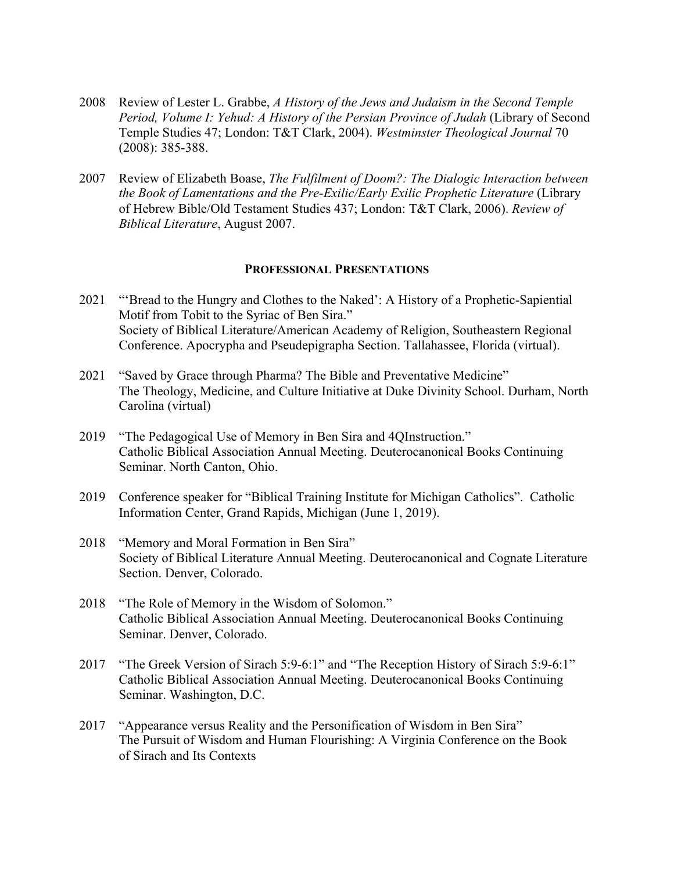- 2008 Review of Lester L. Grabbe, *A History of the Jews and Judaism in the Second Temple Period, Volume I: Yehud: A History of the Persian Province of Judah* (Library of Second Temple Studies 47; London: T&T Clark, 2004). *Westminster Theological Journal* 70 (2008): 385-388.
- 2007 Review of Elizabeth Boase, *The Fulfilment of Doom?: The Dialogic Interaction between the Book of Lamentations and the Pre-Exilic/Early Exilic Prophetic Literature* (Library of Hebrew Bible/Old Testament Studies 437; London: T&T Clark, 2006). *Review of Biblical Literature*, August 2007.

#### **PROFESSIONAL PRESENTATIONS**

- 2021 "'Bread to the Hungry and Clothes to the Naked': A History of a Prophetic-Sapiential Motif from Tobit to the Syriac of Ben Sira." Society of Biblical Literature/American Academy of Religion, Southeastern Regional Conference. Apocrypha and Pseudepigrapha Section. Tallahassee, Florida (virtual).
- 2021 "Saved by Grace through Pharma? The Bible and Preventative Medicine" The Theology, Medicine, and Culture Initiative at Duke Divinity School. Durham, North Carolina (virtual)
- 2019 "The Pedagogical Use of Memory in Ben Sira and 4QInstruction." Catholic Biblical Association Annual Meeting. Deuterocanonical Books Continuing Seminar. North Canton, Ohio.
- 2019 Conference speaker for "Biblical Training Institute for Michigan Catholics". Catholic Information Center, Grand Rapids, Michigan (June 1, 2019).
- 2018 "Memory and Moral Formation in Ben Sira" Society of Biblical Literature Annual Meeting. Deuterocanonical and Cognate Literature Section. Denver, Colorado.
- 2018 "The Role of Memory in the Wisdom of Solomon." Catholic Biblical Association Annual Meeting. Deuterocanonical Books Continuing Seminar. Denver, Colorado.
- 2017 "The Greek Version of Sirach 5:9-6:1" and "The Reception History of Sirach 5:9-6:1" Catholic Biblical Association Annual Meeting. Deuterocanonical Books Continuing Seminar. Washington, D.C.
- 2017 "Appearance versus Reality and the Personification of Wisdom in Ben Sira" The Pursuit of Wisdom and Human Flourishing: A Virginia Conference on the Book of Sirach and Its Contexts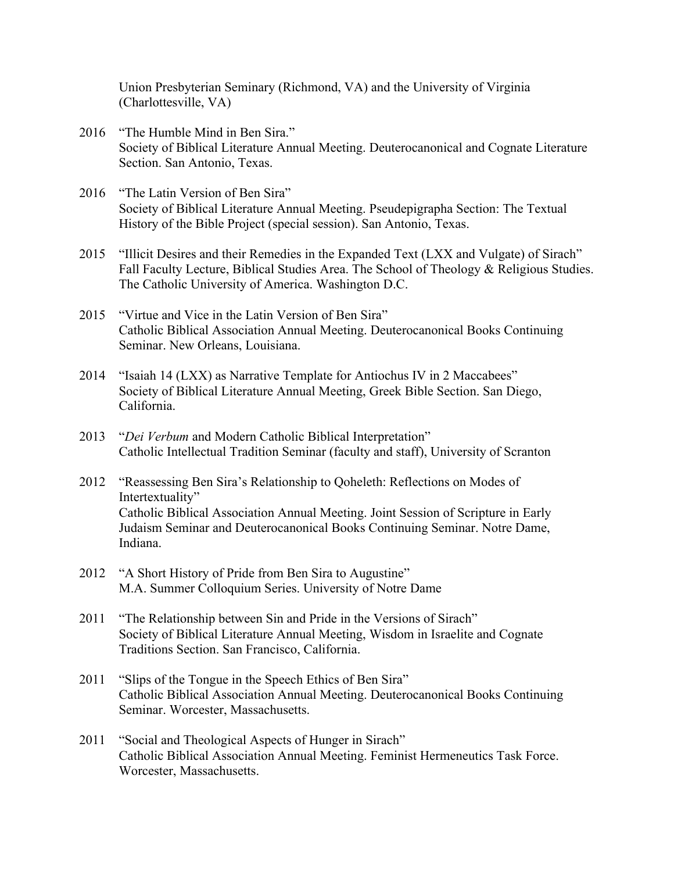Union Presbyterian Seminary (Richmond, VA) and the University of Virginia (Charlottesville, VA)

- 2016 "The Humble Mind in Ben Sira." Society of Biblical Literature Annual Meeting. Deuterocanonical and Cognate Literature Section. San Antonio, Texas.
- 2016 "The Latin Version of Ben Sira" Society of Biblical Literature Annual Meeting. Pseudepigrapha Section: The Textual History of the Bible Project (special session). San Antonio, Texas.
- 2015 "Illicit Desires and their Remedies in the Expanded Text (LXX and Vulgate) of Sirach" Fall Faculty Lecture, Biblical Studies Area. The School of Theology & Religious Studies. The Catholic University of America. Washington D.C.
- 2015 "Virtue and Vice in the Latin Version of Ben Sira" Catholic Biblical Association Annual Meeting. Deuterocanonical Books Continuing Seminar. New Orleans, Louisiana.
- 2014 "Isaiah 14 (LXX) as Narrative Template for Antiochus IV in 2 Maccabees" Society of Biblical Literature Annual Meeting, Greek Bible Section. San Diego, California.
- 2013 "*Dei Verbum* and Modern Catholic Biblical Interpretation" Catholic Intellectual Tradition Seminar (faculty and staff), University of Scranton
- 2012 "Reassessing Ben Sira's Relationship to Qoheleth: Reflections on Modes of Intertextuality" Catholic Biblical Association Annual Meeting. Joint Session of Scripture in Early Judaism Seminar and Deuterocanonical Books Continuing Seminar. Notre Dame, Indiana.
- 2012 "A Short History of Pride from Ben Sira to Augustine" M.A. Summer Colloquium Series. University of Notre Dame
- 2011 "The Relationship between Sin and Pride in the Versions of Sirach" Society of Biblical Literature Annual Meeting, Wisdom in Israelite and Cognate Traditions Section. San Francisco, California.
- 2011 "Slips of the Tongue in the Speech Ethics of Ben Sira" Catholic Biblical Association Annual Meeting. Deuterocanonical Books Continuing Seminar. Worcester, Massachusetts.
- 2011 "Social and Theological Aspects of Hunger in Sirach" Catholic Biblical Association Annual Meeting. Feminist Hermeneutics Task Force. Worcester, Massachusetts.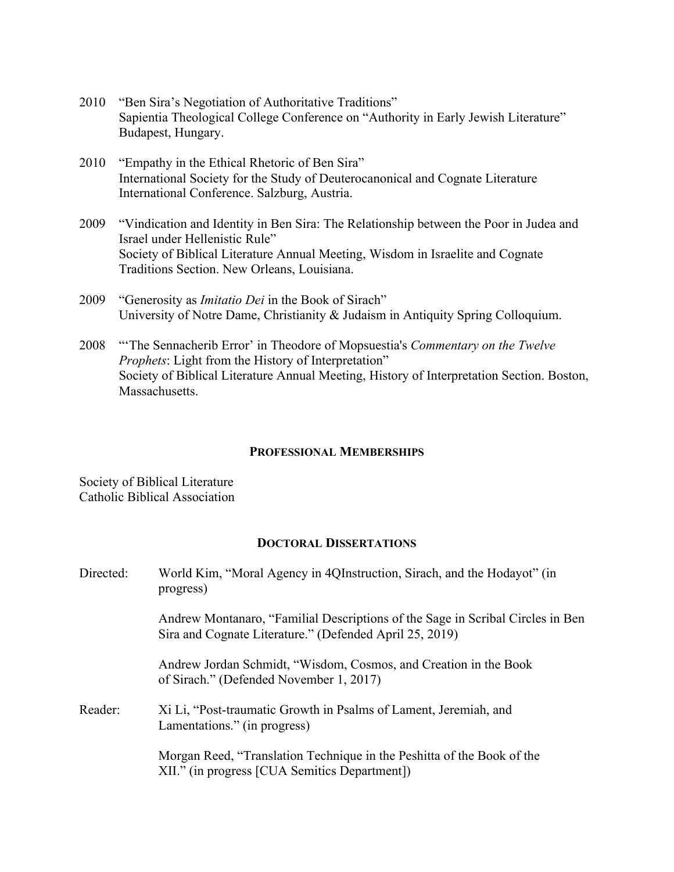- 2010 "Ben Sira's Negotiation of Authoritative Traditions" Sapientia Theological College Conference on "Authority in Early Jewish Literature" Budapest, Hungary.
- 2010 "Empathy in the Ethical Rhetoric of Ben Sira" International Society for the Study of Deuterocanonical and Cognate Literature International Conference. Salzburg, Austria.
- 2009 "Vindication and Identity in Ben Sira: The Relationship between the Poor in Judea and Israel under Hellenistic Rule" Society of Biblical Literature Annual Meeting, Wisdom in Israelite and Cognate Traditions Section. New Orleans, Louisiana.
- 2009 "Generosity as *Imitatio Dei* in the Book of Sirach" University of Notre Dame, Christianity & Judaism in Antiquity Spring Colloquium.
- 2008 "'The Sennacherib Error' in Theodore of Mopsuestia's *Commentary on the Twelve Prophets*: Light from the History of Interpretation" Society of Biblical Literature Annual Meeting, History of Interpretation Section. Boston, Massachusetts.

#### **PROFESSIONAL MEMBERSHIPS**

Society of Biblical Literature Catholic Biblical Association

### **DOCTORAL DISSERTATIONS**

| Directed: | World Kim, "Moral Agency in 4QInstruction, Sirach, and the Hodayot" (in<br>progress)                                                      |
|-----------|-------------------------------------------------------------------------------------------------------------------------------------------|
|           | Andrew Montanaro, "Familial Descriptions of the Sage in Scribal Circles in Ben<br>Sira and Cognate Literature." (Defended April 25, 2019) |
|           | Andrew Jordan Schmidt, "Wisdom, Cosmos, and Creation in the Book<br>of Sirach." (Defended November 1, 2017)                               |
| Reader:   | Xi Li, "Post-traumatic Growth in Psalms of Lament, Jeremiah, and<br>Lamentations." (in progress)                                          |
|           | Morgan Reed, "Translation Technique in the Peshitta of the Book of the<br>XII." (in progress [CUA Semitics Department])                   |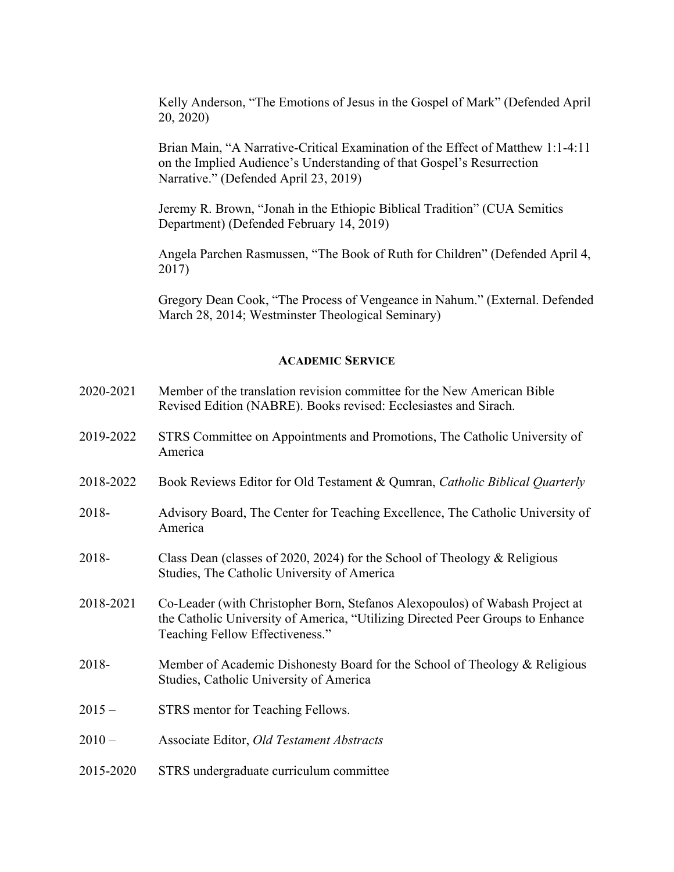Kelly Anderson, "The Emotions of Jesus in the Gospel of Mark" (Defended April 20, 2020)

Brian Main, "A Narrative-Critical Examination of the Effect of Matthew 1:1-4:11 on the Implied Audience's Understanding of that Gospel's Resurrection Narrative." (Defended April 23, 2019)

Jeremy R. Brown, "Jonah in the Ethiopic Biblical Tradition" (CUA Semitics Department) (Defended February 14, 2019)

Angela Parchen Rasmussen, "The Book of Ruth for Children" (Defended April 4, 2017)

Gregory Dean Cook, "The Process of Vengeance in Nahum." (External. Defended March 28, 2014; Westminster Theological Seminary)

### **ACADEMIC SERVICE**

- 2020-2021 Member of the translation revision committee for the New American Bible Revised Edition (NABRE). Books revised: Ecclesiastes and Sirach.
- 2019-2022 STRS Committee on Appointments and Promotions, The Catholic University of America
- 2018-2022 Book Reviews Editor for Old Testament & Qumran, *Catholic Biblical Quarterly*
- 2018- Advisory Board, The Center for Teaching Excellence, The Catholic University of America
- 2018- Class Dean (classes of 2020, 2024) for the School of Theology & Religious Studies, The Catholic University of America
- 2018-2021 Co-Leader (with Christopher Born, Stefanos Alexopoulos) of Wabash Project at the Catholic University of America, "Utilizing Directed Peer Groups to Enhance Teaching Fellow Effectiveness."
- 2018- Member of Academic Dishonesty Board for the School of Theology & Religious Studies, Catholic University of America
- 2015 STRS mentor for Teaching Fellows.
- 2010 Associate Editor, *Old Testament Abstracts*
- 2015-2020 STRS undergraduate curriculum committee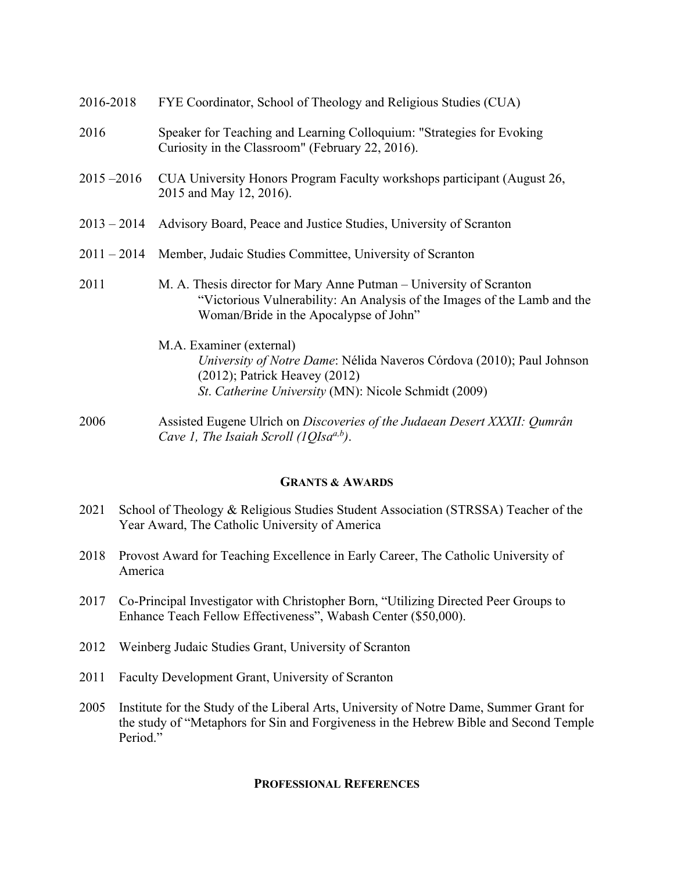| 2016-2018     | FYE Coordinator, School of Theology and Religious Studies (CUA)                                                                                                                                 |
|---------------|-------------------------------------------------------------------------------------------------------------------------------------------------------------------------------------------------|
| 2016          | Speaker for Teaching and Learning Colloquium: "Strategies for Evoking<br>Curiosity in the Classroom" (February 22, 2016).                                                                       |
| $2015 - 2016$ | CUA University Honors Program Faculty workshops participant (August 26,<br>2015 and May 12, 2016).                                                                                              |
| $2013 - 2014$ | Advisory Board, Peace and Justice Studies, University of Scranton                                                                                                                               |
| $2011 - 2014$ | Member, Judaic Studies Committee, University of Scranton                                                                                                                                        |
| 2011          | M. A. Thesis director for Mary Anne Putman – University of Scranton<br>"Victorious Vulnerability: An Analysis of the Images of the Lamb and the<br>Woman/Bride in the Apocalypse of John"       |
|               | M.A. Examiner (external)<br>University of Notre Dame: Nélida Naveros Córdova (2010); Paul Johnson<br>$(2012)$ ; Patrick Heavey $(2012)$<br>St. Catherine University (MN): Nicole Schmidt (2009) |
| 2006          | Assisted Fugene Ulrich on Discoveries of the Judgean Desert XXXII: Oumrân                                                                                                                       |

2006 Assisted Eugene Ulrich on *Discoveries of the Judaean Desert XXXII: Qumrân Cave 1, The Isaiah Scroll (1QIsaa,b)*.

# **GRANTS & AWARDS**

- 2021 School of Theology & Religious Studies Student Association (STRSSA) Teacher of the Year Award, The Catholic University of America
- 2018 Provost Award for Teaching Excellence in Early Career, The Catholic University of America
- 2017 Co-Principal Investigator with Christopher Born, "Utilizing Directed Peer Groups to Enhance Teach Fellow Effectiveness", Wabash Center (\$50,000).
- 2012 Weinberg Judaic Studies Grant, University of Scranton
- 2011 Faculty Development Grant, University of Scranton
- 2005 Institute for the Study of the Liberal Arts, University of Notre Dame, Summer Grant for the study of "Metaphors for Sin and Forgiveness in the Hebrew Bible and Second Temple Period."

# **PROFESSIONAL REFERENCES**